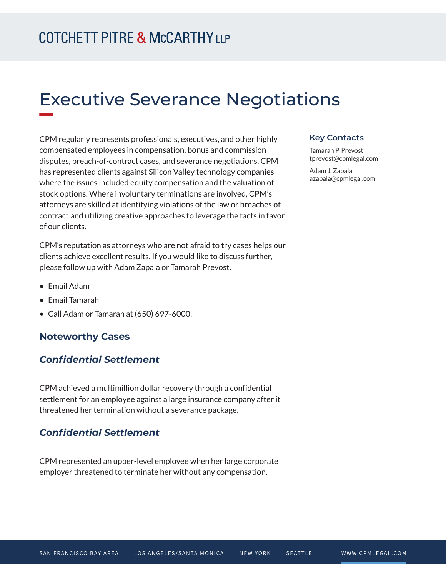# Executive Severance Negotiations

CPM regularly represents professionals, executives, and other highly compensated employees in compensation, bonus and commission disputes, breach-of-contract cases, and severance negotiations. CPM has represented clients against Silicon Valley technology companies where the issues included equity compensation and the valuation of stock options. Where involuntary terminations are involved, CPM's attorneys are skilled at identifying violations of the law or breaches of contract and utilizing creative approaches to leverage the facts in favor of our clients.

CPM's reputation as attorneys who are not afraid to try cases helps our clients achieve excellent results. If you would like to discuss further, please follow up with Adam Zapala or Tamarah Prevost.

- Email Adam
- Email Tamarah
- Call Adam or Tamarah at (650) 697-6000.

# **Noteworthy Cases**

## *Confidential Settlement*

CPM achieved a multimillion dollar recovery through a confidential settlement for an employee against a large insurance company after it threatened her termination without a severance package.

## *Confidential Settlement*

CPM represented an upper-level employee when her large corporate employer threatened to terminate her without any compensation.

#### **Key Contacts**

Tamarah P. Prevost tprevost@cpmlegal.com

Adam J. Zapala azapala@cpmlegal.com